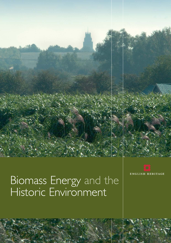

# Biomass Energy and the Historic Environment

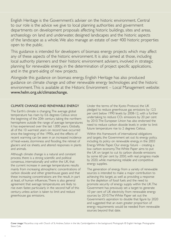English Heritage is the Government's adviser on the historic environment. Central to our role is the advice we give to local planning authorities and government departments on development proposals affecting historic buildings, sites and areas, archaeology on land and underwater, designed landscapes and the historic aspects of the landscape as a whole.We also manage an estate of over 400 historic properties open to the public.

This guidance is intended for developers of biomass energy projects which may affect any of these aspects of the historic environment. It is also aimed at those, including local authority planners and their historic environment advisers, involved in strategic planning for renewable energy, in the determination of project specific applications, and in the grant-aiding of new projects.

Alongside this guidance on biomass energy, English Heritage has also produced guidance on climate change and other renewable energy technologies and the historic environment.This is available at the Historic Environment – Local Management website: www.helm.org.uk/climatechange.

# CLIMATE CHANGE AND RENEWABLE ENERGY

The Earth's climate is changing.The average global temperature has risen by 0.6 degrees Celsius since the beginning of the 20th century, taking the northern hemisphere outside the range of average temperatures it has experienced over the last 1,000 years. Globally, all of the 10 warmest years on record have occurred since the beginning of the 1990s, and the effects of recent warming can be seen in an increased incidence of heat-waves, storminess and flooding, the retreat of glaciers and ice sheets, and altered responses in plants and animals.

Although climate change is a natural and constant process, there is a strong scientific and political consensus, internationally and within the UK, that the current increase in average temperatures results mainly from increasing atmospheric concentrations of carbon dioxide and other greenhouse gases and that these increasing concentrations are the result, in part at least, of human influences.There is also general agreement that average temperatures are likely to rise even faster, particularly in the second half of this century, unless action is taken to limit and reduce greenhouse gas emissions.

Under the terms of the Kyoto Protocol, the UK pledged to reduce greenhouse gas emissions by 12.5 per cent below 1990 levels by 2008-12, with a further undertaking to reduce  $CO<sub>2</sub>$  emissions by 20 per cent by 2010.The European Union has also endorsed the need to reduce carbon dioxide levels in order to limit future temperature rise to 2 degrees Celsius.

Within this framework of international obligations and targets, the Government set out its energy policy, including its policy on renewable energy, in the 2003 Energy White Paper, Our energy future – creating a low carbon economy.The White Paper aims to put the UK on target to cut its carbon dioxide emissions by some 60 per cent by 2050, with real progress made by 2020, while maintaining reliable and competitive energy supplies.

The generation of energy from a variety of renewable sources is intended to make a major contribution to achieving this target, as well as providing a response to the depletion of fossil fuels and the need to promote security of energy supply within the UK.The Government has previously set a target to generate 10 per cent of UK electricity from renewable energy sources by 2010.The White Paper set out the Government's aspiration to double that figure by 2020 and suggested that an even greater proportion of energy requirements would be needed from renewable sources beyond that date.

Cover image: Miscanthus crop with Church of St. Andrew, Sutton in the Isle, Cambridgeshire in the background. Photograph: © English Heritage. Photographer Steve Cole.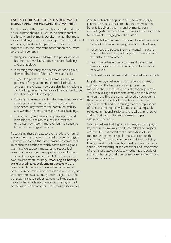# ENGLISH HERITAGE POLICY ON RENEWABLE ENERGY AND THE HISTORIC ENVIRONMENT

On the basis of the most widely accepted predictions, future climate change is likely to be detrimental to the historic environment. Despite the fact that most historic buildings, sites and landscapes have experienced a changing climate in the past, many may be at risk, together with the important contribution they make to the UK economy:

- Rising sea levels will endanger the preservation of historic maritime landscapes, structures, buildings and archaeology.
- Increasing frequency and severity of flooding may damage the historic fabric of towns and cities.
- Higher temperatures, drier summers, changing patterns of vegetation and altered distributions for pests and disease may pose significant challenges for the long-term maintenance of historic landscapes, including designed landscapes.
- Potential increases in rainfall, storminess and weather intensity together with greater risk of ground subsidence may threaten the continued stability and weather resilience of many historic buildings.
- Changes in hydrology and cropping regime and increasing soil erosion as a result of weather extremes may make it more difficult to conserve buried archaeological remains.

Recognising these threats to the historic and natural environments and to our national prosperity, English Heritage welcomes the Government's commitment to reduce the emissions which contribute to global warming.We support measures to reduce fuel consumption, increase energy efficiency and exploit renewable energy sources. In addition, through our own environmental strategy (www.english-heritage. org.uk/sustainabledevelopmentstrategy), we are committed to reducing the environmental impact of our own activities. Nevertheless, we also recognise that some renewable energy technologies have the potential to cause serious damage to irreplaceable historic sites, which are themselves an integral part of the wider environmental and sustainability agenda.

A truly sustainable approach to renewable energy generation needs to secure a balance between the benefits it delivers and the environmental costs it incurs. English Heritage therefore supports an approach to renewable energy generation which:

- acknowledges the need for society to invest in a wide range of renewable energy generation technologies;
- recognises the potential environmental impacts of different technologies, including their implications for the historic environment;
- keeps the balance of environmental benefits and disadvantages of each technology under continual review; and
- continually seeks to limit and mitigate adverse impacts.

English Heritage believes a pro-active and strategic approach to the land-use planning system will maximise the benefits of renewable energy projects, while minimising their adverse effects on the historic environment.This should be achieved by considering the cumulative effects of projects as well as their specific impacts and by ensuring that the implications of renewable energy developments are adequately reflected in national, regional and local planning policy and at all stages of the environmental impact assessment process.

We also believe that high quality design should play a key role in minimising any adverse effects of projects, whether this is directed at the disposition of wind turbines and energy crops in the landscape or the positioning of photo-voltaic cells on historic buildings. Fundamental to achieving high quality design will be a sound understanding of the character and importance of the historic asset involved, whether at the scale of individual buildings and sites or more extensive historic areas and landscapes.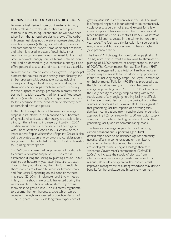#### BIOMASS TECHNOLOGY AND ENERGY CROPS

Biomass is fuel derived from plant material. Although  $CO<sub>2</sub>$  is released into the atmosphere when plant material is burnt, an equivalent amount will have been taken from the atmosphere during growth.The carbon in biomass fuel does not therefore increase atmospheric greenhouse gasses (although its cultivation, transport and combustion do involve some additional emissions) and, when it is used in place of fossil fuels, a net reduction in carbon emissions is achieved. Unlike most other renewable energy sources biomass can be stored and used on demand to give controllable energy. It also offers potential as a source of heat as well as electricity.

Biomass for fuel can be gathered or grown.The principal biomass fuel sources include arisings from forestry and timber processing; biodegradable waste, including municipal and agricultural waste; crop residues, such as straw; and energy crops, which are grown specifically for the purpose of energy generation. Biomass can be burned in suitably adapted traditional coal-fired power stations (so-called "co-firing") or in specialised biomass facilities designed for the production of electricity, heat, or combined heat and power.

In the UK, the exploitation of biomass and energy crops is in its infancy. In 2006 around 4,500 hectares of agricultural land was under energy crop cultivation, although this is likely to increase significantly in 2007. To date, most practical experience had been gained with Short Rotation Coppice (SRC) Willow or, to a lesser extent, Poplar. *Miscanthus* (Elephant Grass) is also being cultivated as an energy crop and consideration is being given to the potential for Short Rotation Forestry (SRF) using native species.

SRC Willow is a perennial crop, harvested rotationally to ensure a constant supply of fuel.The crop is established during the spring by planting around 15,000 cuttings per hectare. A year later these are cut back close to the ground, causing them to form multiple shoots which are allowed to grow for between two and four years. Depending on soil conditions, these may reach 25-50mm in diameter and 3 to 4 metres in length.The shoots are usually harvested during the winter (as chips, billets or whole stems) by cutting them close to ground level.The cut stems regenerate to become the next harvest: a cycle which can be repeated through an expected productive lifespan of 15 to 20 years.There is less long-term experience of

growing *Miscanthus* commercially in the UK.The grass is of tropical origin, but is considered to be commercially viable over a large part of England, except for a few areas of upland. Plants are grown from rhizomes and reach heights of 2.5 to 3.5 metres. Like SRC, *Miscanthus* is perennial and harvested in the winter, but on a one year cycle.The fuel has a similar calorific value per unit weight as wood, but is considered to have a higher yield potential than SRC.

The Defra/DTI Strategy for non-food crops (Defra/DTI 2006a) notes that current funding aims to stimulate the planting of 15,000 hectares of energy crops by the end of 2007.The Government's Biomass Task Force (BMT 2005) has suggested that a total of 1 million hectares of land may be available for non-food crop production in the UK, including energy crops.The Royal Commission on Environmental Pollution (RCEP) has proposed that the UK should be aiming for 1 million hectares of energy crop planting by 2020 (RCEP 2004). Calculating the likely density of energy crop planting within the supply zone of any single generating facility is difficult in the face of variables such as the availability of other sources of biomass fuel. However, RCEP has suggested that generating facilities capable of powering fairly significant conurbations might require planting densities approaching 10% by area, within a 50 km radius supply zone, with the highest planting densities close to the generating facility and its communicating roads.

The benefits of energy crops in terms of reducing carbon emissions and supporting agricultural diversification need to be balanced against potentially negative effects, in some locations, on the historic character of the landscape and the survival of archaeological remains. English Heritage therefore welcomes Government's commitment (Defra/DTI 2006b) to increase the supply of biomass from alternative sources, including forestry waste and crop residues, alongside energy crops.The consequential improved management of existing woodland may deliver benefits for the landscape and historic environment.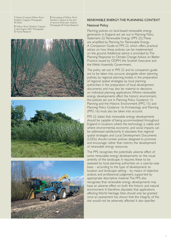1 Stand of mature Willow Short Rotation Coppice. Photograph: © Defra

2 Willow Short Rotation Coppice in leaf, August 2005. Photograph: © Forest Research

3 Harvesting of Willow Short Rotation Coppice at the end of second three-year rotation. Photograph: © Forest Research







## RENEWABLE ENERGY:THE PLANNING CONTEXT

#### National Policy

Planning policies on land-based renewable energy generation in England are set out in Planning Policy Statement 22: Renewable Energy (PPS 22).These are amplified by Planning for Renewable Energy: A Companion Guide to PPS 22, which offers practical advice on how these policies can be implemented on the ground. Additional advice is provided by The Planning Response to Climate Change: Advice on Better Practice issued by ODPM, the Scottish Executive and the Welsh Assembly Government.

The policy set out in PPS 22 and its companion guide are to be taken into account, alongside other planning policies, by regional planning bodies in the preparation of regional spatial strategies, by local planning authorities in the preparation of local development documents, and may also be material to decisions on individual planning applications.Where renewable energy developments affect the historic environment, the policies set out in Planning Policy Guidance 15: Planning and the Historic Environment (PPG 15) and Planning Policy Guidance 16: Archaeology and Planning (PPG 16) must also be taken into account.

PPS 22 states that renewable energy developments should be capable of being accommodated throughout England in locations where the technology is viable and where environmental, economic, and social impacts can be addressed satisfactorily. It stipulates that regional spatial strategies and Local Development Documents (LDDs) should contain policies designed to promote and encourage, rather than restrict, the development of renewable energy resources.

The PPS recognises the potentially adverse effect of some renewable energy developments on the visual amenity of the landscape. It requires these to be assessed by local planning authorities on a case-by-case basis – according to the type of development, its location and landscape setting – by means of objective analysis and professional judgement, supported by appropriate descriptive material.The PPS also recognises that renewable energy developments may have an adverse effect on both the historic and natural environment. It therefore stipulates that applications affecting World Heritage Sites should only be granted once an assessment has shown that the integrity of the site would not be adversely affected. It also specifies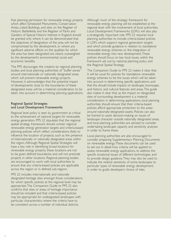that planning permission for renewable energy projects which affect Scheduled Monuments, Conservation Areas, Listed Buildings, and sites on the Register of Historic Battlefields and the Register of Parks and Gardens of Special Historic Interest in England should be granted only where it can be demonstrated that the objectives of designation of the area will not be compromised by the development, or where any significant adverse effects on the qualities for which the area has been designated are clearly outweighed by the development's environmental, social and economic benefits.

The PPS discourages the creation by regional planning bodies and local planning authorities of "buffer zones" around internationally or nationally designated areas which will prevent renewable energy projects. However, it acknowledges that the potential impact of developments close to the boundaries of these designated areas will be a material consideration to be taken into account in determining planning applications.

# Regional Spatial Strategies and Local Development Frameworks

Regional level policy is seen by government as critical to the achievement of national targets for renewable energy generation. PPS 22 stipulates that the regional spatial strategy framework should contain regional renewable energy generation targets and criteria-based planning policies which reflect considerations likely to influence the location of projects, such as the presence of internationally or nationally designated areas within the region. Although Regional Spatial Strategies will have a key role in identifying broad locations for renewable energy projects, these locations are not to be given defined boundaries and will not preclude projects in other locations. Regional planning bodies are encouraged to work with local authorities to ensure that any criteria-based policies are applicable across the region or in defined sub-regions.

PPS 22 includes internationally and nationally designated heritage sites amongst those considerations for which specific policies at the regional level may be appropriate.The Companion Guide to PPS 22 also confirms that sites or areas of heritage importance should be included and that criteria-based policies may be appropriate for undesignated landscapes with particular characteristics where the criteria have to be consistent across a number of individual districts.

Although much of the strategic framework for renewable energy planning will be established at the regional level with the involvement of local authorities, Local Development Frameworks (LDFs) will also play a strategically important role. PPS 22 requires local planning authorities to include criteria-based policies in LDFs which support regional generation targets and which provide guidance in relation to standalone renewable energy schemes or the integration of renewable energy into new development.These policies should focus on key local issues, within the framework set out by national planning policy and the Regional Spatial Strategy.

The Companion Guide to PPS 22 makes it clear that it will be usual for policies for standalone renewable energy schemes to list the issues which will be taken into account in determining specific applications, and that this should include impacts on landscape, townscape, and historic and cultural features and areas.The guide also makes it clear that, as the impact on designated sites of surrounding development is a material consideration in determining applications, local planning authorities should ensure that their criteria-based policies afford appropriate protection to the areas around nationally-designated assets. Policies can also be framed to assist decision-making on issues of landscape character outside nationally designated areas, and local planning authorities are advised to consider undertaking landscape capacity and sensitivity analyses in order to frame these.

Local planning authorities are also encouraged to consider preparing Supplementary Planning Documents on renewable energy.These documents can be used to set out in detail how criteria will be applied to assess renewable energy applications, to address the specific locational issues of different technologies, and to provide design guidance.They may also be used to indicate the relative sensitivity of some landscapes to particular types of renewable energy development, in order to guide developers' choice of sites.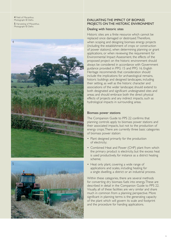4 Field of Miscanthus. Photograph: © Defra

**5** Harvesting of Miscanthus. Photograph: © Defra





# EVALUATING THE IMPACT OF BIOMASS PROJECTS ON THE HISTORIC ENVIRONMENT

#### Dealing with historic sites

Historic sites are a finite resource which cannot be replaced once damaged or destroyed.Therefore, when scoping and designing biomass energy projects (including the establishment of crops or construction of power stations), when determining planning or grant applications, or when reviewing the requirement for Environmental Impact Assessment, the effects of the proposed project on the historic environment should always be considered in accordance with Government guidance provided in PPG 15 and PPG 16. English Heritage recommends that consideration should include the implications for archaeological remains, historic buildings and designed landscapes, including their setting, as well as the historic character and associations of the wider landscape; should extend to both designated and significant undesignated sites and areas; and should embrace both the direct physical effects of projects and any indirect impacts, such as hydrological impacts in surrounding areas.

#### Biomass power stations

The Companion Guide to PPS 22 confirms that planning controls apply to biomass power stations and their associated impacts, but not to the production of energy crops.There are currently three basic categories of biomass power station:

- Plant designed primarily for the production of electricity;
- Combined Heat and Power (CHP) plant from which the primary product is electricity, but the excess heat is used productively, for instance as a district heating scheme;
- Heat only plant, covering a wide range of applications and scales, including heating for a single dwelling, a district or an industrial process.

Within these categories, there are several methods for converting dry biomass fuels into energy.These are described in detail in the Companion Guide to PPS 22. Visually, all of these facilities are very similar and share much in common from a planning perspective. More significant in planning terms is the generating capacity of the plant which will govern its scale and footprint and the procedure for handing applications.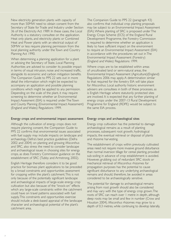New electricity generation plants with capacity of more than 50MW need to obtain consent from the Secretary of State for Trade and Industry under Section 36 of the Electricity Act 1989. In these cases, the Local Authority is a statutory consultee on the application. Heat only plants, and electricity plants or Combined Heat and Power plants with an electrical output of 50MW or less require planning permission from the local planning authority under the Town and Country Planning Act 1990.

When determining a planning application for a plant or advising the Secretary of State, Local Planning Authorities are advised to consider its possible impact in terms of visual intrusion, noise and increased traffic, alongside its economic and carbon mitigation benefits. The Companion Guide to PPS 22 sets out in more detail the information which might be expected to accompany an application and possible planning conditions which might be applied to any permission. Depending on the scale of the plant, it may require screening to determine whether an Environmental Impact Assesment (EIA) is required under The Town and County Planning (Environmental Impact Assessment) (England and Wales) Regulations 1999.

#### Energy crops and environmental impact assessment

Although the cultivation of energy crops does not require planning consent, the Companion Guide to PPS 22 confirms that environmental issues associated with fuel supply may include impacts on landscape and archaeology. Defra's best practice guidelines (Defra 2002 and 2004) on planting and growing *Miscanthus* and SRC, also stress the need to consider landscape and archaeological issues in choosing sites for energy crops, as does Forestry Commission guidance on the establishment of SRC (Tubby and Armstrong, 2002).

English Heritage therefore considers it to be good practice for biomass plant applications to be preceded by a broad constraints and opportunities assessment for cropping within the plant's catchment.This is not only because of the potentially significant landscape and archaeological impacts of large-scale energy crop cultivation but also because of the "knock-on" effects which any large-scale constraints within the catchment could have on travel patterns associated with fuel supply.This constraints and opportunities exercise should include a desk-based appraisal of the landscape character and archaeological potential of the plant's catchment area.

The Companion Guide to PPS 22 (paragraph 43) also confirms that individual crop planting proposals may be subject to an Environmental Impact Assessment (EIA).Where planting of SRC is proposed under The Energy Crops Scheme (ECS) of the England Rural Development Programme, the Forestry Commission is required to determine whether an application is likely to have sufficient impact on the environment to require an Environmental Impact Assessment (EIA) in accordance with the procedures set out in The Environmental Impact Assessment (Forestry) (England and Wales) Regulations 1999.

Where crops are to be established within areas of uncultivated land or semi-natural areas, the Environmental Impact Assessment (Agriculture)(England) Regulations 2006 may apply. A determination similar to that required for the forestry EIA will take place for *Miscanthus*. Local authority historic environment advisers are consultees in both of these processes, as is English Heritage where statutorily protected sites are involved. It is expected that any further planting of energy crops under the 2007-13 Rural Development Programme for England (RDPE) would be subject to the same EIA process.

#### Energy crops and archaeological sites

Energy crop cultivation has the potential to damage archaeological remains as a result of planting processes, subsequent root growth, hydrological impacts, the eventual retrieval or disposal of plants and rhizome harvesting.

The establishment of crops within previously cultivated areas need not require more invasive ground disturbance than normal inversion tillage for cereal planting, provided sub-soiling in advance of crop establishment is avoided. However, grubbing out of redundant SRC stools or mechanical retrieval of *Miscanthus* rhizomes for propagation purposes has the potential to cause significant disturbance to any underlying archaeological remains and should, therefore, be avoided in areas considered to be archaeologically sensitive.

The potential for damage to archaeological remains arising from root growth should also be considered and may vary with the type of energy crop grown.The roots of SRC can reach over 1 metre in depth, although deep roots may be small and few in number (Crow and Houston 2004). *Miscanthus* rhizomes may grow to a depth of 0.3 metres, while continuing to develop laterally,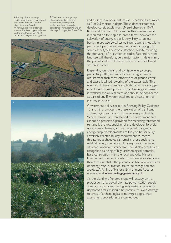6 Planting of biomass crops should avoid known archaeological sites. Short Rotation Coppice plantations near Swindon, Wiltshire, avoid well preserved areas or Medieval ridge-and-furrow earthworks. Photograph: NMR 24190-01 © English Heritage NMR

7 The impact of energy crop plantations on the setting of historic sites, buildings and landscapes should always be considered. Photograph: © English Heritage. Photographer Steve Cole.





and its fibrous rooting system can penetrate to as much as 2 or 2.5 metres in depth.These deeper roots may develop considerable mass, (Neukirchen et al 1999; Riche and Christian 2001) and further research work is required on this topic. In broad terms, however, the cultivation of energy crops is very likely to be less benign in archaeological terms than retaining sites within permanent pasture and may be more damaging than some other types of crop cultivation, despite reducing the frequency of cultivation episodes. Past and current land use will, therefore, be a major factor in determining the potential effect of energy crops on archaeological site preservation.

Depending on rainfall and soil type, energy crops, particularly SRC, are likely to have a higher water requirement than most other types of ground cover and cause localised lowering of the water table.This effect could have adverse implications for waterlogged (and therefore well preserved) archaeological remains in wetland and alluvial areas and should be considered as part of any Environmental Impact Assessment of planting proposals.

Government policy, set out in Planning Policy Guidance 15 and 16, promotes the preservation of significant archaeological remains in situ wherever practicable. Where remains are threatened by development and cannot be preserved, provision for recording threatened remains is the responsibility of the developer.To avoid unnecessary damage, and as the profit margins of energy crop developments are likely to be seriously adversely affected by any requirement to record threatened archaeological remains, those seeking to establish energy crops should always avoid recorded sites and, wherever practicable, should also avoid areas recognised as being of high archaeological potential. Early consultation with the local authority Historic Environment Record in order to inform site selection is therefore essential if the potential archaeological impacts of energy crop cultivation are to be recognised and avoided. A full list of Historic Environment Records is available at www.heritagegateway.org.uk.

As the planting of energy crops will occupy only a proportion of a typical biomass power station supply zone and as establishment grants make provision for unplanted areas, it should be possible to avoid damage to areas of archaeological sensitivity, if appropriate assessment procedures are carried out.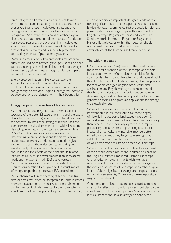Areas of grassland present a particular challenge as they often contain archaeological sites that are better preserved than those in cultivated areas, but often pose greater problems in terms of site detection and recognition. As a result, the record of archaeological sites tends to be more complete in areas of cultivation. For several reasons, therefore, planting in cultivated areas is likely to present a lower risk of damage to archaeological remains and is generally preferable to planting in areas of permanent grassland.

Planting in areas of very low archaeological potential, such as disused or reinstated gravel pits, landfill or open cast coal mining sites will minimise the risk of damage to archaeological remains, although landscape impacts will need to be considered.

Energy crop cultivation is likely to damage the archaeological integrity of scheduled monuments. As these sites are comparatively limited in area and can generally be avoided, English Heritage will normally oppose energy crop planting within their boundaries.

#### Energy crops and the setting of historic sites

Without careful planning, biomass power stations and (because of the potential scale of planting and the exotic character of some crops) energy crop plantations have the potential to impair the setting of historic sites and compromise the visual amenity of the wider landscape, detracting from historic character and sense-of-place. PPS 22 and its Companion Guide advises that, in determining planning applications for biomass power station developments, consideration should be given to their impact on the wider landscape setting and visual amenity of historic sites.This consideration should include the effects of the plant and its related infrastructure (such as power transmission lines, access roads and signage). Similarly, Defra and Forestry Commission guidance on energy crop establishment require consideration to be given to the visual impact of energy crops, through relevant EIA procedures.

While changes within the setting of historic buildings, sites or areas may often be acceptable, in some instances biomass developments or energy crop establishment will be unacceptably detrimental to their character or visual amenity.This may particularly be the case within,

or in the vicinity of, important designed landscapes or other significant historic landscapes, such as battlefields. English Heritage recommends that proposals for biomass power stations or energy crops within sites on the English Heritage Registers of Parks and Gardens of Special Historic Interest in England or Register of Historic Battlefields, or within their settings, should not normally be permitted, where these would adversely affect the historic significance of the site.

#### The wider landscape

PPG 15 (paragraph 2.26) refers to the need to take the historical dimension of the landscape as a whole into account when defining planning policies for the countryside.The historic character of landscapes should therefore be considered when framing planning policies for renewable energy alongside other visual and aesthetic issues. English Heritage also recommends that historic landscape character is considered when determining individual planning applications for biomass generation facilities or grant-aid applications for energy crop establishment.

While all landscapes are the product of human intervention and are therefore have some degree of historic interest, some landscapes have been far more dynamic over time or have altered more radically than others.These historically dynamic landscapes, particularly those where the prevailing character is industrial or agriculturally intensive, may be better suited to accommodating large-scale energy crop establishment than less dynamic areas such as areas of well preserved prehistoric or medieval fieldscape.

Where local authorities have completed an appraisal of the historic dimension of the landscape as part of the English Heritage sponsored Historic Landscape Characterisation programme, English Heritage recommend this is incorporated at an early stage in the overall assessment of landscape and archaeological impact.Where significant plantings are proposed close to historic settlements, Conservation Area Appraisals may also be relevant.

Consideration of landscape impacts should extend not only to the effects of individual projects but also to the cumulative effects of developments. Seasonal variations in visual impact should also always be considered.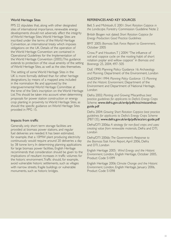#### World Heritage Sites

PPS 22 stipulates that, along with other designated sites of international importance, renewable energy developments should not adversely affect the integrity of World Heritage Sites.World Heritage Sites are inscribed under the terms of the World Heritage Convention, an international treaty which imposes obligations on the UK. Details of the operation of the World Heritage Convention are contained in Operational Guidelines for the Implementation of the World Heritage Convention (2005).This guidance extends to protection of the visual amenity of the setting of World Heritage Sites, as well as the sites themselves.

The setting of some World Heritage Sites in the UK is more formally defined than for other heritage designations, by means of a mapped area included in the nomination file and approved by the intergovernmental World Heritage Committee at the time of the Site's inscription on the World Heritage List.This should be taken into account when determining proposals for power station construction or energy crop planting in proximity to World Heritage Sites, as should the specific guidance on World Heritage Sites provided in PPG 15.

# Impacts from traffic

Generally, only short term storage facilities are provided at biomass power stations, and regular fuel deliveries are needed. It has been estimated, for example, that a 10MW plant producing electricity continuously would require around 20 deliveries a day by 38 tonne lorry. In determining planning applications for large biomass power facilities, English Heritage recommends that consideration should be given to the implications of resultant increases in traffic volumes for the historic environment.Traffic should, for example, avoid vulnerable historic settlements, such as villages with narrow streets, fragile buildings or vulnerable monuments, such as historic bridges.

# REFERENCES AND KEY SOURCES

Bell, S and McIntosh, E 2001: *Short Rotation Coppice in the Landscape*. Forestry Commission Guideline Note 2

British Biogen not dated: *Short Rotation Coppice for Energy Production: Good Practice Guidelines*

BMT 2005: *Biomass Task Force: Report to Government*, October 2005

Crow, P and Houston, T | 2004: "The influence of soil and coppice cycle on the rooting habit of short rotation poplar and willow coppice" in *Biomass and Bioenergy* 25, 2004, 497- 505

DoE 1990: Planning Policy Guidance 16: *Archaeology and Planning*. Department of the Environment, London

DoE/DNH 1994: *Planning Policy Guidance 15: Planning and the Historic Environment*. Department of the Environment and Department of National Heritage, London

Defra 2002: *Planting and Growing* Miscanthus: *best practice guidelines for applicants to Defra's Energy Crops Scheme*. www.defra.gov.uk/erdp/pdfs/ecs/miscanthusguide.pdf

Defra 2004: *Growing Short Rotation Coppice: best practice guidelines for applicants to Defra's Energy Crops Scheme* (PB7135). www.defra.gov.uk/erdp/pdfs/ecs/src-guide.pdf

Defra/DTI 2006a: *A strategy for non-food crops and uses: creating value from renewable materials*, Defra and DTI, London

Defra/DTI 2006b: *The Government's Response to the Biomass Task Force Report*, April 2006, Defra and DTI, London

English Heritage 2005: *Wind Energy and the Historic Environment*, London, English Heritage, October 2005, Product Code 51099

English Heritage 2006: *Climate Change and the Historic Environment*, London, English Heritage, January 2006, Product Code 51098